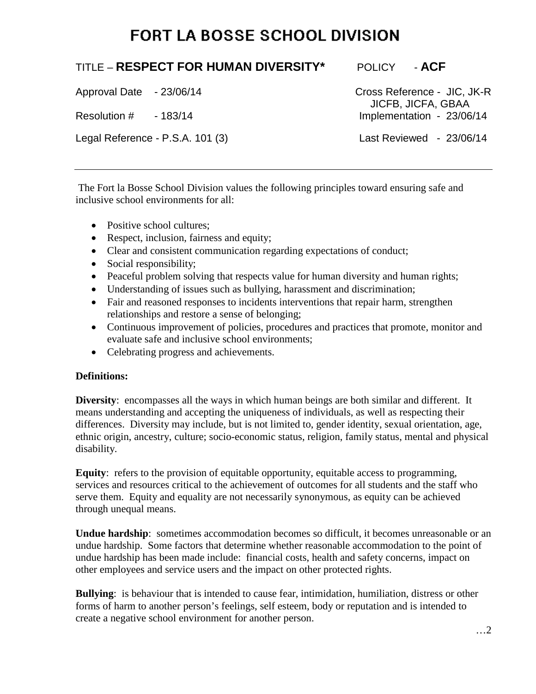# **FORT LA BOSSE SCHOOL DIVISION**

# TITLE – **RESPECT FOR HUMAN DIVERSITY\*** POLICY - **ACF**

Legal Reference - P.S.A. 101 (3) Last Reviewed - 23/06/14

Approval Date - 23/06/14 Cross Reference - JIC, JK-R **The Solution #**  $-183/14$  **The Solution #**  $-23/06$ Implementation - 23/06/14

The Fort la Bosse School Division values the following principles toward ensuring safe and inclusive school environments for all:

- Positive school cultures:
- Respect, inclusion, fairness and equity;
- Clear and consistent communication regarding expectations of conduct;
- Social responsibility;
- Peaceful problem solving that respects value for human diversity and human rights;
- Understanding of issues such as bullying, harassment and discrimination;
- Fair and reasoned responses to incidents interventions that repair harm, strengthen relationships and restore a sense of belonging;
- Continuous improvement of policies, procedures and practices that promote, monitor and evaluate safe and inclusive school environments;
- Celebrating progress and achievements.

### **Definitions:**

**Diversity**: encompasses all the ways in which human beings are both similar and different. It means understanding and accepting the uniqueness of individuals, as well as respecting their differences. Diversity may include, but is not limited to, gender identity, sexual orientation, age, ethnic origin, ancestry, culture; socio-economic status, religion, family status, mental and physical disability.

**Equity**: refers to the provision of equitable opportunity, equitable access to programming, services and resources critical to the achievement of outcomes for all students and the staff who serve them. Equity and equality are not necessarily synonymous, as equity can be achieved through unequal means.

**Undue hardship**: sometimes accommodation becomes so difficult, it becomes unreasonable or an undue hardship. Some factors that determine whether reasonable accommodation to the point of undue hardship has been made include: financial costs, health and safety concerns, impact on other employees and service users and the impact on other protected rights.

**Bullying**: is behaviour that is intended to cause fear, intimidation, humiliation, distress or other forms of harm to another person's feelings, self esteem, body or reputation and is intended to create a negative school environment for another person.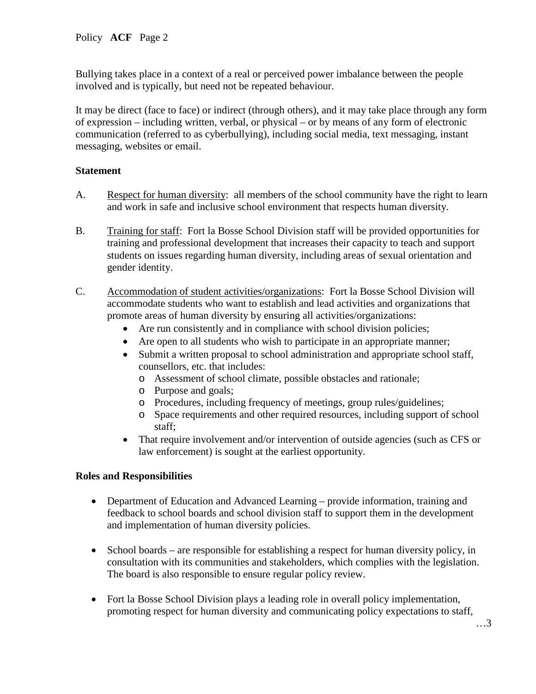Bullying takes place in a context of a real or perceived power imbalance between the people involved and is typically, but need not be repeated behaviour.

It may be direct (face to face) or indirect (through others), and it may take place through any form of expression – including written, verbal, or physical – or by means of any form of electronic communication (referred to as cyberbullying), including social media, text messaging, instant messaging, websites or email.

## **Statement**

- A. Respect for human diversity: all members of the school community have the right to learn and work in safe and inclusive school environment that respects human diversity.
- B. Training for staff: Fort la Bosse School Division staff will be provided opportunities for training and professional development that increases their capacity to teach and support students on issues regarding human diversity, including areas of sexual orientation and gender identity.
- C. Accommodation of student activities/organizations: Fort la Bosse School Division will accommodate students who want to establish and lead activities and organizations that promote areas of human diversity by ensuring all activities/organizations:
	- Are run consistently and in compliance with school division policies;
	- Are open to all students who wish to participate in an appropriate manner;
	- Submit a written proposal to school administration and appropriate school staff, counsellors, etc. that includes:
		- o Assessment of school climate, possible obstacles and rationale;
		- o Purpose and goals;
		- o Procedures, including frequency of meetings, group rules/guidelines;
		- o Space requirements and other required resources, including support of school staff;
	- That require involvement and/or intervention of outside agencies (such as CFS or law enforcement) is sought at the earliest opportunity.

# **Roles and Responsibilities**

- Department of Education and Advanced Learning provide information, training and feedback to school boards and school division staff to support them in the development and implementation of human diversity policies.
- School boards are responsible for establishing a respect for human diversity policy, in consultation with its communities and stakeholders, which complies with the legislation. The board is also responsible to ensure regular policy review.
- Fort la Bosse School Division plays a leading role in overall policy implementation, promoting respect for human diversity and communicating policy expectations to staff,